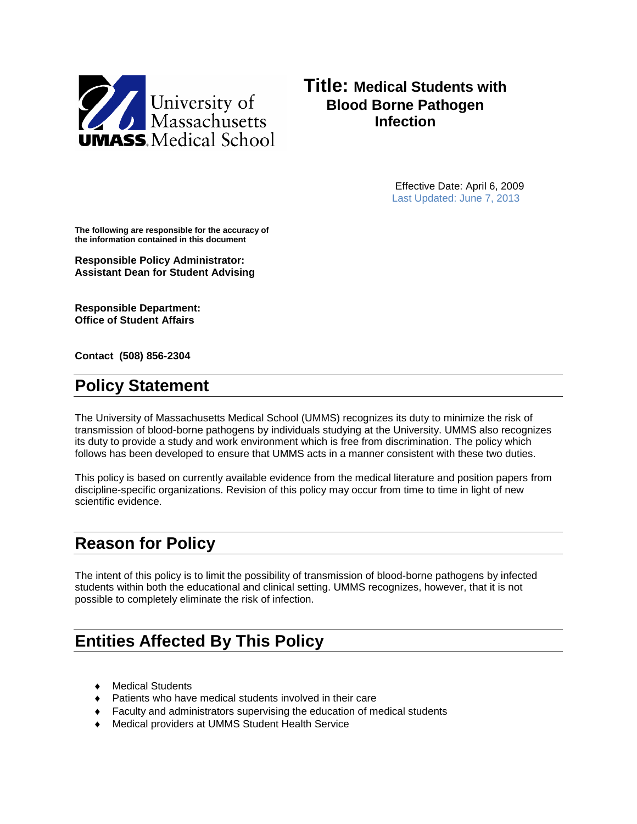

**Title: Medical Students with Blood Borne Pathogen Infection**

> Effective Date: April 6, 2009 Last Updated: June 7, 2013

**The following are responsible for the accuracy of the information contained in this document**

**Responsible Policy Administrator: Assistant Dean for Student Advising**

**Responsible Department: Office of Student Affairs**

**Contact (508) 856-2304**

# **Policy Statement**

The University of Massachusetts Medical School (UMMS) recognizes its duty to minimize the risk of transmission of blood-borne pathogens by individuals studying at the University. UMMS also recognizes its duty to provide a study and work environment which is free from discrimination. The policy which follows has been developed to ensure that UMMS acts in a manner consistent with these two duties.

This policy is based on currently available evidence from the medical literature and position papers from discipline-specific organizations. Revision of this policy may occur from time to time in light of new scientific evidence.

# **Reason for Policy**

The intent of this policy is to limit the possibility of transmission of blood-borne pathogens by infected students within both the educational and clinical setting. UMMS recognizes, however, that it is not possible to completely eliminate the risk of infection.

# **Entities Affected By This Policy**

- ♦ Medical Students
- ♦ Patients who have medical students involved in their care
- $\bullet$  Faculty and administrators supervising the education of medical students
- ♦ Medical providers at UMMS Student Health Service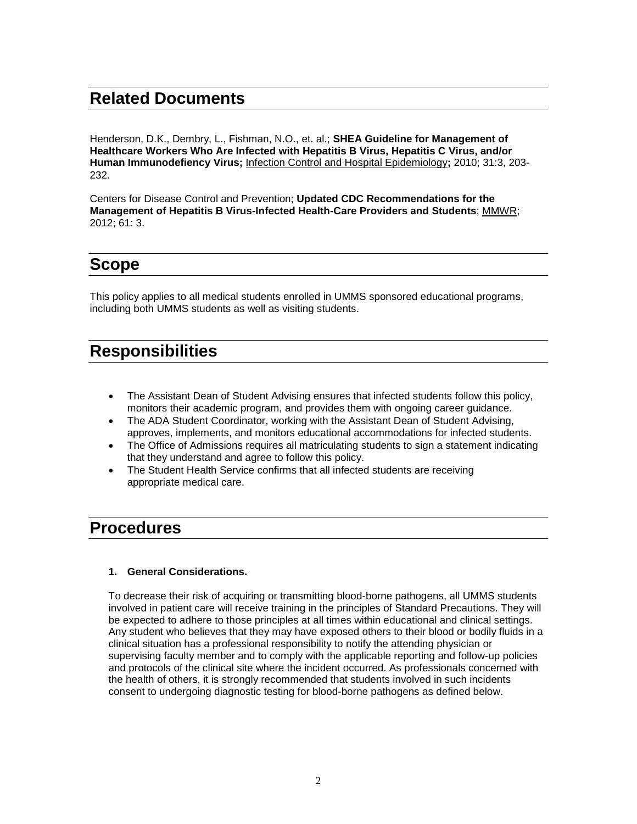# **Related Documents**

Henderson, D.K., Dembry, L., Fishman, N.O., et. al.; **SHEA Guideline for Management of Healthcare Workers Who Are Infected with Hepatitis B Virus, Hepatitis C Virus, and/or Human Immunodefiency Virus;** Infection Control and Hospital Epidemiology**;** 2010; 31:3, 203- 232.

Centers for Disease Control and Prevention; **Updated CDC Recommendations for the Management of Hepatitis B Virus-Infected Health-Care Providers and Students**; MMWR; 2012; 61: 3.

# **Scope**

This policy applies to all medical students enrolled in UMMS sponsored educational programs, including both UMMS students as well as visiting students.

# **Responsibilities**

- The Assistant Dean of Student Advising ensures that infected students follow this policy, monitors their academic program, and provides them with ongoing career guidance.
- The ADA Student Coordinator, working with the Assistant Dean of Student Advising, approves, implements, and monitors educational accommodations for infected students.
- The Office of Admissions requires all matriculating students to sign a statement indicating that they understand and agree to follow this policy.
- The Student Health Service confirms that all infected students are receiving appropriate medical care.

# **Procedures**

### **1. General Considerations.**

To decrease their risk of acquiring or transmitting blood-borne pathogens, all UMMS students involved in patient care will receive training in the principles of Standard Precautions. They will be expected to adhere to those principles at all times within educational and clinical settings. Any student who believes that they may have exposed others to their blood or bodily fluids in a clinical situation has a professional responsibility to notify the attending physician or supervising faculty member and to comply with the applicable reporting and follow-up policies and protocols of the clinical site where the incident occurred. As professionals concerned with the health of others, it is strongly recommended that students involved in such incidents consent to undergoing diagnostic testing for blood-borne pathogens as defined below.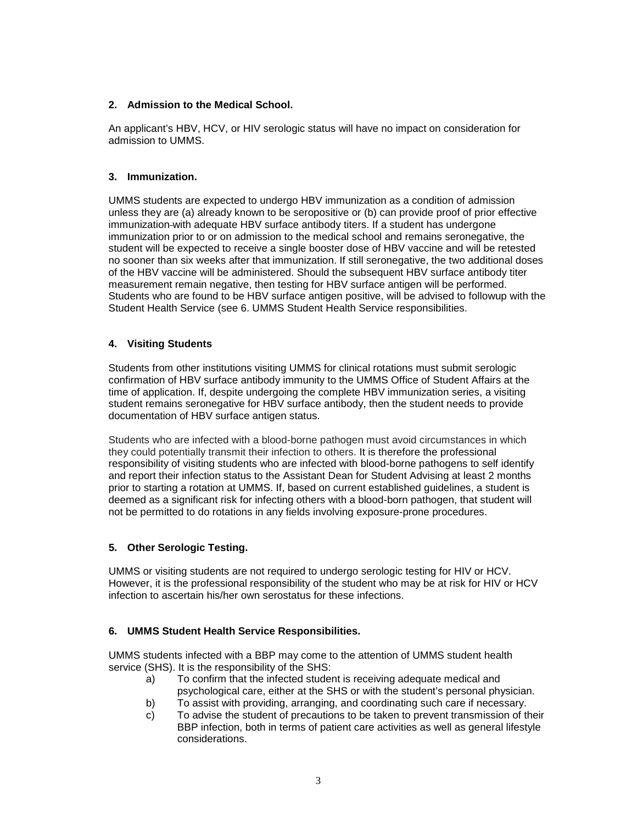### **2. Admission to the Medical School.**

An applicant's HBV, HCV, or HIV serologic status will have no impact on consideration for admission to UMMS.

### **3. Immunization.**

UMMS students are expected to undergo HBV immunization as a condition of admission unless they are (a) already known to be seropositive or (b) can provide proof of prior effective immunization with adequate HBV surface antibody titers. If a student has undergone immunization prior to or on admission to the medical school and remains seronegative, the student will be expected to receive a single booster dose of HBV vaccine and will be retested no sooner than six weeks after that immunization. If still seronegative, the two additional doses of the HBV vaccine will be administered. Should the subsequent HBV surface antibody titer measurement remain negative, then testing for HBV surface antigen will be performed. Students who are found to be HBV surface antigen positive, will be advised to followup with the Student Health Service (see 6. UMMS Student Health Service responsibilities.

### **4. Visiting Students**

Students from other institutions visiting UMMS for clinical rotations must submit serologic confirmation of HBV surface antibody immunity to the UMMS Office of Student Affairs at the time of application. If, despite undergoing the complete HBV immunization series, a visiting student remains seronegative for HBV surface antibody, then the student needs to provide documentation of HBV surface antigen status.

Students who are infected with a blood-borne pathogen must avoid circumstances in which they could potentially transmit their infection to others. It is therefore the professional responsibility of visiting students who are infected with blood-borne pathogens to self identify and report their infection status to the Assistant Dean for Student Advising at least 2 months prior to starting a rotation at UMMS. If, based on current established guidelines, a student is deemed as a significant risk for infecting others with a blood-born pathogen, that student will not be permitted to do rotations in any fields involving exposure-prone procedures.

### **5. Other Serologic Testing.**

UMMS or visiting students are not required to undergo serologic testing for HIV or HCV. However, it is the professional responsibility of the student who may be at risk for HIV or HCV infection to ascertain his/her own serostatus for these infections.

#### **6. UMMS Student Health Service Responsibilities.**

UMMS students infected with a BBP may come to the attention of UMMS student health service (SHS). It is the responsibility of the SHS:

- a) To confirm that the infected student is receiving adequate medical and psychological care, either at the SHS or with the student's personal physician.
- b) To assist with providing, arranging, and coordinating such care if necessary.
- c) To advise the student of precautions to be taken to prevent transmission of their BBP infection, both in terms of patient care activities as well as general lifestyle considerations.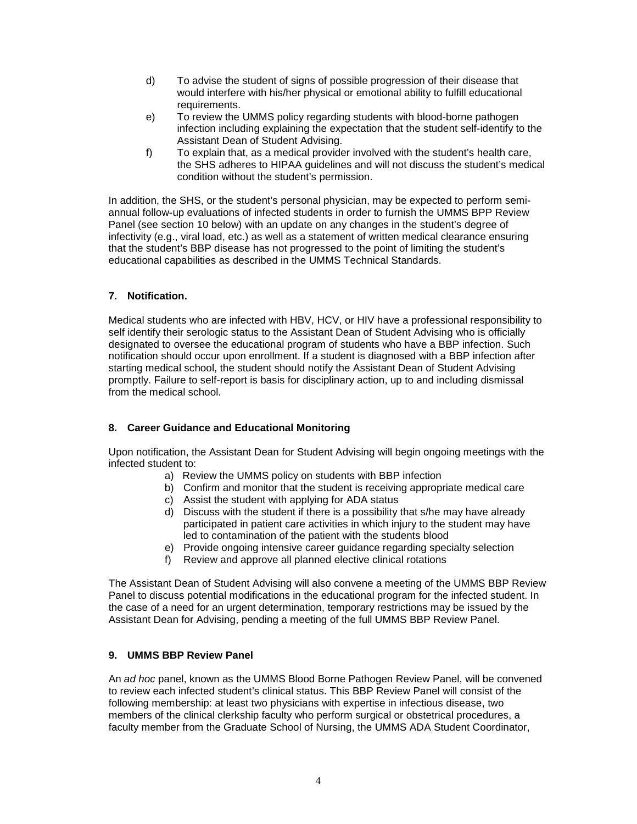- d) To advise the student of signs of possible progression of their disease that would interfere with his/her physical or emotional ability to fulfill educational requirements.
- e) To review the UMMS policy regarding students with blood-borne pathogen infection including explaining the expectation that the student self-identify to the Assistant Dean of Student Advising.
- f) To explain that, as a medical provider involved with the student's health care, the SHS adheres to HIPAA guidelines and will not discuss the student's medical condition without the student's permission.

In addition, the SHS, or the student's personal physician, may be expected to perform semiannual follow-up evaluations of infected students in order to furnish the UMMS BPP Review Panel (see section 10 below) with an update on any changes in the student's degree of infectivity (e.g., viral load, etc.) as well as a statement of written medical clearance ensuring that the student's BBP disease has not progressed to the point of limiting the student's educational capabilities as described in the UMMS Technical Standards.

### **7. Notification.**

Medical students who are infected with HBV, HCV, or HIV have a professional responsibility to self identify their serologic status to the Assistant Dean of Student Advising who is officially designated to oversee the educational program of students who have a BBP infection. Such notification should occur upon enrollment. If a student is diagnosed with a BBP infection after starting medical school, the student should notify the Assistant Dean of Student Advising promptly. Failure to self-report is basis for disciplinary action, up to and including dismissal from the medical school.

### **8. Career Guidance and Educational Monitoring**

Upon notification, the Assistant Dean for Student Advising will begin ongoing meetings with the infected student to:

- a) Review the UMMS policy on students with BBP infection
- b) Confirm and monitor that the student is receiving appropriate medical care
- c) Assist the student with applying for ADA status
- d) Discuss with the student if there is a possibility that s/he may have already participated in patient care activities in which injury to the student may have led to contamination of the patient with the students blood
- e) Provide ongoing intensive career guidance regarding specialty selection
- f) Review and approve all planned elective clinical rotations

The Assistant Dean of Student Advising will also convene a meeting of the UMMS BBP Review Panel to discuss potential modifications in the educational program for the infected student. In the case of a need for an urgent determination, temporary restrictions may be issued by the Assistant Dean for Advising, pending a meeting of the full UMMS BBP Review Panel.

### **9. UMMS BBP Review Panel**

An *ad hoc* panel, known as the UMMS Blood Borne Pathogen Review Panel, will be convened to review each infected student's clinical status. This BBP Review Panel will consist of the following membership: at least two physicians with expertise in infectious disease, two members of the clinical clerkship faculty who perform surgical or obstetrical procedures, a faculty member from the Graduate School of Nursing, the UMMS ADA Student Coordinator,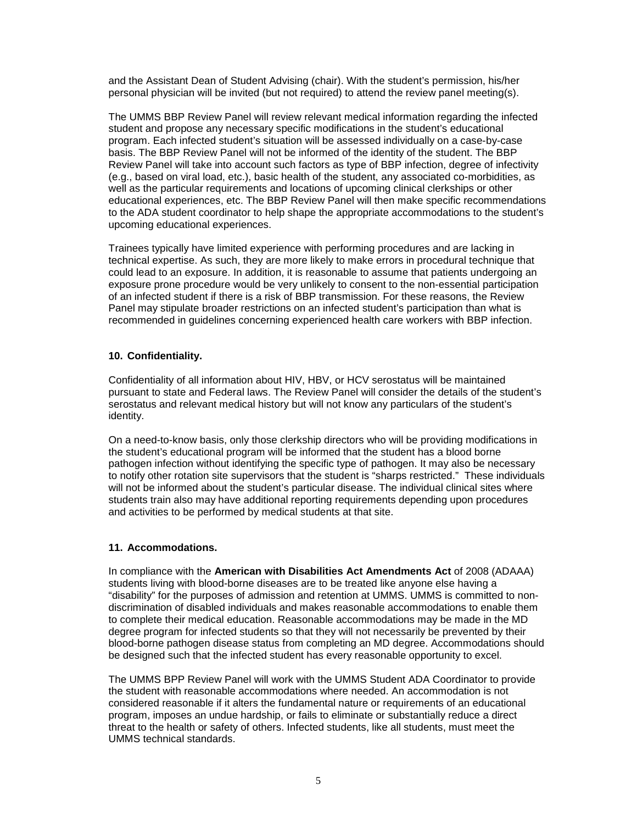and the Assistant Dean of Student Advising (chair). With the student's permission, his/her personal physician will be invited (but not required) to attend the review panel meeting(s).

The UMMS BBP Review Panel will review relevant medical information regarding the infected student and propose any necessary specific modifications in the student's educational program. Each infected student's situation will be assessed individually on a case-by-case basis. The BBP Review Panel will not be informed of the identity of the student. The BBP Review Panel will take into account such factors as type of BBP infection, degree of infectivity (e.g., based on viral load, etc.), basic health of the student, any associated co-morbidities, as well as the particular requirements and locations of upcoming clinical clerkships or other educational experiences, etc. The BBP Review Panel will then make specific recommendations to the ADA student coordinator to help shape the appropriate accommodations to the student's upcoming educational experiences.

Trainees typically have limited experience with performing procedures and are lacking in technical expertise. As such, they are more likely to make errors in procedural technique that could lead to an exposure. In addition, it is reasonable to assume that patients undergoing an exposure prone procedure would be very unlikely to consent to the non-essential participation of an infected student if there is a risk of BBP transmission. For these reasons, the Review Panel may stipulate broader restrictions on an infected student's participation than what is recommended in guidelines concerning experienced health care workers with BBP infection.

### **10. Confidentiality.**

Confidentiality of all information about HIV, HBV, or HCV serostatus will be maintained pursuant to state and Federal laws. The Review Panel will consider the details of the student's serostatus and relevant medical history but will not know any particulars of the student's identity.

On a need-to-know basis, only those clerkship directors who will be providing modifications in the student's educational program will be informed that the student has a blood borne pathogen infection without identifying the specific type of pathogen. It may also be necessary to notify other rotation site supervisors that the student is "sharps restricted." These individuals will not be informed about the student's particular disease. The individual clinical sites where students train also may have additional reporting requirements depending upon procedures and activities to be performed by medical students at that site.

### **11. Accommodations.**

In compliance with the **American with Disabilities Act Amendments Act** of 2008 (ADAAA) students living with blood-borne diseases are to be treated like anyone else having a "disability" for the purposes of admission and retention at UMMS. UMMS is committed to nondiscrimination of disabled individuals and makes reasonable accommodations to enable them to complete their medical education. Reasonable accommodations may be made in the MD degree program for infected students so that they will not necessarily be prevented by their blood-borne pathogen disease status from completing an MD degree. Accommodations should be designed such that the infected student has every reasonable opportunity to excel.

The UMMS BPP Review Panel will work with the UMMS Student ADA Coordinator to provide the student with reasonable accommodations where needed. An accommodation is not considered reasonable if it alters the fundamental nature or requirements of an educational program, imposes an undue hardship, or fails to eliminate or substantially reduce a direct threat to the health or safety of others. Infected students, like all students, must meet the UMMS technical standards.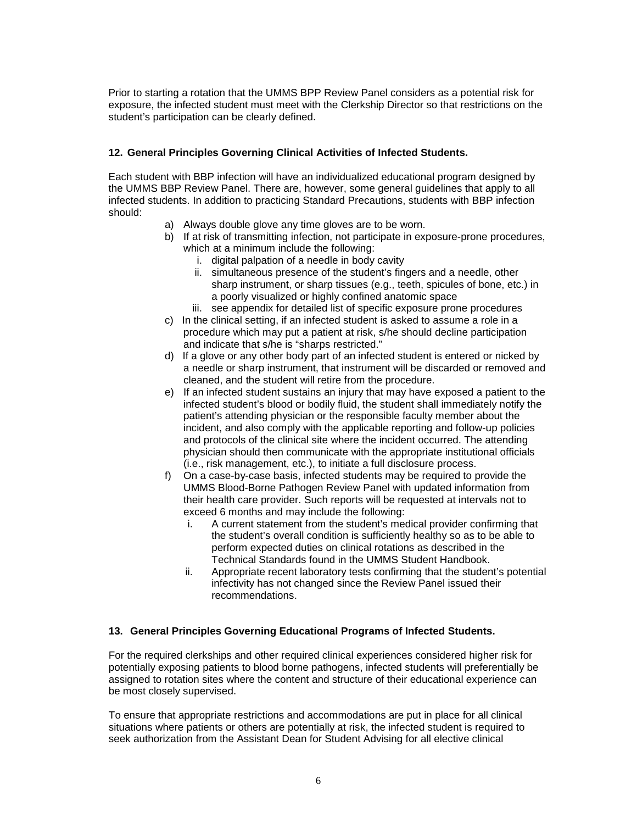Prior to starting a rotation that the UMMS BPP Review Panel considers as a potential risk for exposure, the infected student must meet with the Clerkship Director so that restrictions on the student's participation can be clearly defined.

### **12. General Principles Governing Clinical Activities of Infected Students.**

Each student with BBP infection will have an individualized educational program designed by the UMMS BBP Review Panel. There are, however, some general guidelines that apply to all infected students. In addition to practicing Standard Precautions, students with BBP infection should:

- a) Always double glove any time gloves are to be worn.
- b) If at risk of transmitting infection, not participate in exposure-prone procedures, which at a minimum include the following:
	- i. digital palpation of a needle in body cavity
	- ii. simultaneous presence of the student's fingers and a needle, other sharp instrument, or sharp tissues (e.g., teeth, spicules of bone, etc.) in a poorly visualized or highly confined anatomic space
	- iii. see appendix for detailed list of specific exposure prone procedures
- c) In the clinical setting, if an infected student is asked to assume a role in a procedure which may put a patient at risk, s/he should decline participation and indicate that s/he is "sharps restricted."
- d) If a glove or any other body part of an infected student is entered or nicked by a needle or sharp instrument, that instrument will be discarded or removed and cleaned, and the student will retire from the procedure.
- e) If an infected student sustains an injury that may have exposed a patient to the infected student's blood or bodily fluid, the student shall immediately notify the patient's attending physician or the responsible faculty member about the incident, and also comply with the applicable reporting and follow-up policies and protocols of the clinical site where the incident occurred. The attending physician should then communicate with the appropriate institutional officials (i.e., risk management, etc.), to initiate a full disclosure process.
- f) On a case-by-case basis, infected students may be required to provide the UMMS Blood-Borne Pathogen Review Panel with updated information from their health care provider. Such reports will be requested at intervals not to exceed 6 months and may include the following:
	- i. A current statement from the student's medical provider confirming that the student's overall condition is sufficiently healthy so as to be able to perform expected duties on clinical rotations as described in the Technical Standards found in the UMMS Student Handbook.
	- ii. Appropriate recent laboratory tests confirming that the student's potential infectivity has not changed since the Review Panel issued their recommendations.

#### **13. General Principles Governing Educational Programs of Infected Students.**

For the required clerkships and other required clinical experiences considered higher risk for potentially exposing patients to blood borne pathogens, infected students will preferentially be assigned to rotation sites where the content and structure of their educational experience can be most closely supervised.

To ensure that appropriate restrictions and accommodations are put in place for all clinical situations where patients or others are potentially at risk, the infected student is required to seek authorization from the Assistant Dean for Student Advising for all elective clinical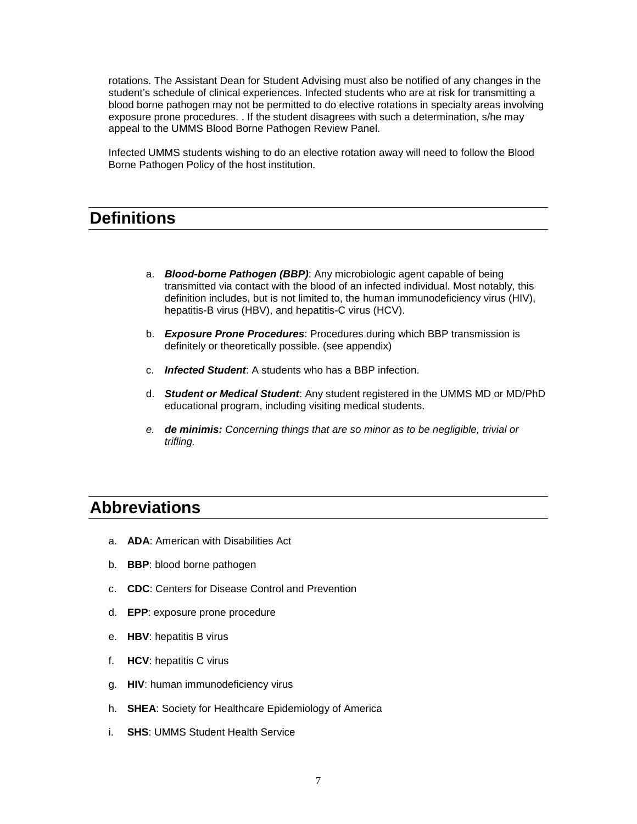rotations. The Assistant Dean for Student Advising must also be notified of any changes in the student's schedule of clinical experiences. Infected students who are at risk for transmitting a blood borne pathogen may not be permitted to do elective rotations in specialty areas involving exposure prone procedures. . If the student disagrees with such a determination, s/he may appeal to the UMMS Blood Borne Pathogen Review Panel.

Infected UMMS students wishing to do an elective rotation away will need to follow the Blood Borne Pathogen Policy of the host institution.

# **Definitions**

- a. *Blood-borne Pathogen (BBP)*: Any microbiologic agent capable of being transmitted via contact with the blood of an infected individual. Most notably, this definition includes, but is not limited to, the human immunodeficiency virus (HIV), hepatitis-B virus (HBV), and hepatitis-C virus (HCV).
- b. *Exposure Prone Procedures*: Procedures during which BBP transmission is definitely or theoretically possible. (see appendix)
- c. *Infected Student*: A students who has a BBP infection.
- d. *Student or Medical Student*: Any student registered in the UMMS MD or MD/PhD educational program, including visiting medical students.
- *e. de minimis: Concerning things that are so minor as to be negligible, trivial or trifling.*

# **Abbreviations**

- a. **ADA**: American with Disabilities Act
- b. **BBP**: blood borne pathogen
- c. **CDC**: Centers for Disease Control and Prevention
- d. **EPP**: exposure prone procedure
- e. **HBV**: hepatitis B virus
- f. **HCV**: hepatitis C virus
- g. **HIV**: human immunodeficiency virus
- h. **SHEA**: Society for Healthcare Epidemiology of America
- i. **SHS**: UMMS Student Health Service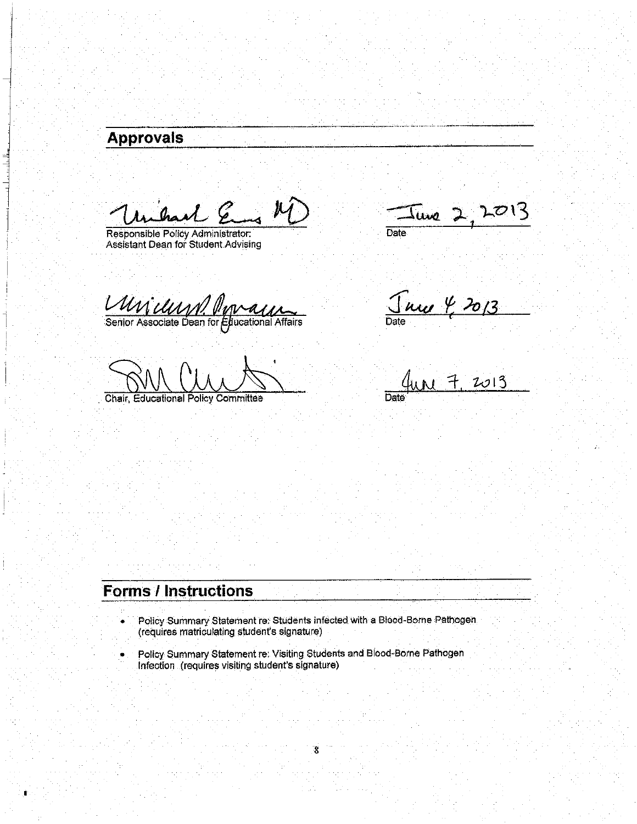**Approvals** 

Responsible Policy Administrator: Assistant Dean for Student Advising

<u>UM UUM Puraum</u>

Chair, Educational Policy Committee

 $\frac{1}{\sqrt{2}}$ une 2, 2013 Date

<u>June 4, 2013</u>

de 1919<br>Service<br>Anima June 7, 2013 Date

# **Forms / Instructions**

 $\bullet$ 

- Policy Summary Statement re: Students infected with a Blood-Borne Pathogen  $\bullet$ (requires matriculating student's signature)
	- Policy Summary Statement re: Visiting Students and Blood-Borne Pathogen Infection (requires visiting student's signature)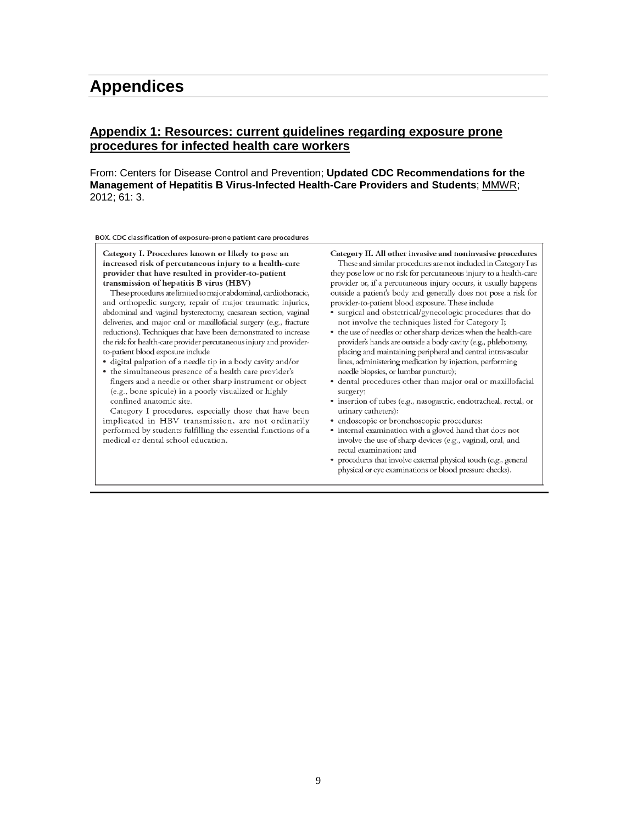## **Appendices**

## Appendix 1: Resources: current guidelines regarding exposure prone procedures for infected health care workers

From: Centers for Disease Control and Prevention; Updated CDC Recommendations for the Management of Hepatitis B Virus-Infected Health-Care Providers and Students; MMWR; 2012; 61: 3.

BOX. CDC classification of exposure-prone patient care procedures

Category I. Procedures known or likely to pose an increased risk of percutaneous injury to a health-care provider that have resulted in provider-to-patient transmission of hepatitis B virus (HBV)

These procedures are limited to major abdominal, cardiothoracic, and orthopedic surgery, repair of major traumatic injuries, abdominal and vaginal hysterectomy, caesarean section, vaginal deliveries, and major oral or maxillofacial surgery (e.g., fracture reductions). Techniques that have been demonstrated to increase the risk for health-care provider percutaneous injury and providerto-patient blood exposure include

- · digital palpation of a needle tip in a body cavity and/or
- the simultaneous presence of a health care provider's fingers and a needle or other sharp instrument or object (e.g., bone spicule) in a poorly visualized or highly confined anatomic site.

Category I procedures, especially those that have been implicated in HBV transmission, are not ordinarily performed by students fulfilling the essential functions of a medical or dental school education.

Category II. All other invasive and noninvasive procedures

These and similar procedures are not included in Category I as they pose low or no risk for percutaneous injury to a health-care provider or, if a percutaneous injury occurs, it usually happens outside a patient's body and generally does not pose a risk for provider-to-patient blood exposure. These include

- · surgical and obstetrical/gynecologic procedures that do not involve the techniques listed for Category I;
- the use of needles or other sharp devices when the health-care provider's hands are outside a body cavity (e.g., phlebotomy, placing and maintaining peripheral and central intravascular lines, administering medication by injection, performing needle biopsies, or lumbar puncture);
- · dental procedures other than major oral or maxillofacial surgery;
- · insertion of tubes (e.g., nasogastric, endotracheal, rectal, or urinary catheters):
- · endoscopic or bronchoscopic procedures;
- internal examination with a gloved hand that does not involve the use of sharp devices (e.g., vaginal, oral, and rectal examination; and
- procedures that involve external physical touch (e.g., general physical or eye examinations or blood pressure checks).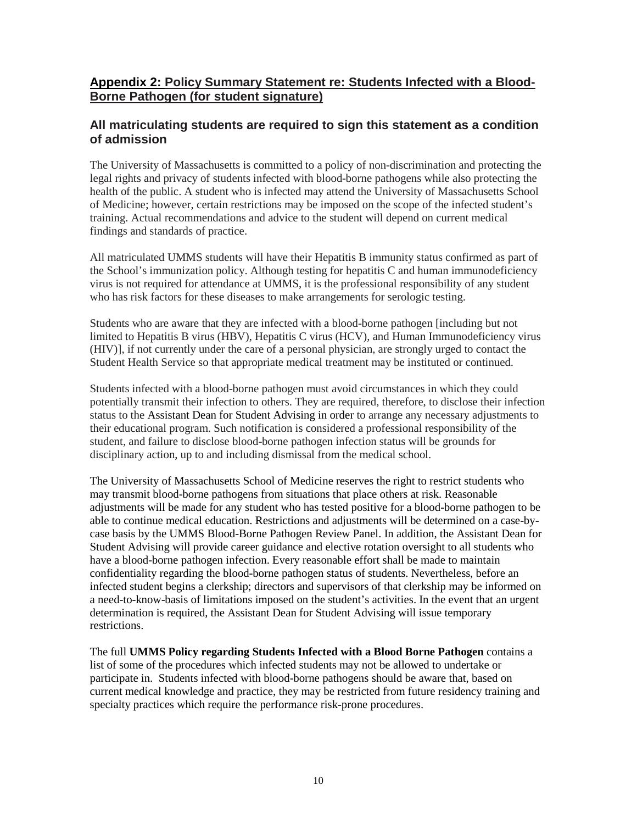## **Appendix 2: Policy Summary Statement re: Students Infected with a Blood-Borne Pathogen (for student signature)**

## **All matriculating students are required to sign this statement as a condition of admission**

The University of Massachusetts is committed to a policy of non-discrimination and protecting the legal rights and privacy of students infected with blood-borne pathogens while also protecting the health of the public. A student who is infected may attend the University of Massachusetts School of Medicine; however, certain restrictions may be imposed on the scope of the infected student's training. Actual recommendations and advice to the student will depend on current medical findings and standards of practice.

All matriculated UMMS students will have their Hepatitis B immunity status confirmed as part of the School's immunization policy. Although testing for hepatitis C and human immunodeficiency virus is not required for attendance at UMMS, it is the professional responsibility of any student who has risk factors for these diseases to make arrangements for serologic testing.

Students who are aware that they are infected with a blood-borne pathogen [including but not limited to Hepatitis B virus (HBV), Hepatitis C virus (HCV), and Human Immunodeficiency virus (HIV)], if not currently under the care of a personal physician, are strongly urged to contact the Student Health Service so that appropriate medical treatment may be instituted or continued.

Students infected with a blood-borne pathogen must avoid circumstances in which they could potentially transmit their infection to others. They are required, therefore, to disclose their infection status to the Assistant Dean for Student Advising in order to arrange any necessary adjustments to their educational program. Such notification is considered a professional responsibility of the student, and failure to disclose blood-borne pathogen infection status will be grounds for disciplinary action, up to and including dismissal from the medical school.

The University of Massachusetts School of Medicine reserves the right to restrict students who may transmit blood-borne pathogens from situations that place others at risk. Reasonable adjustments will be made for any student who has tested positive for a blood-borne pathogen to be able to continue medical education. Restrictions and adjustments will be determined on a case-bycase basis by the UMMS Blood-Borne Pathogen Review Panel. In addition, the Assistant Dean for Student Advising will provide career guidance and elective rotation oversight to all students who have a blood-borne pathogen infection. Every reasonable effort shall be made to maintain confidentiality regarding the blood-borne pathogen status of students. Nevertheless, before an infected student begins a clerkship; directors and supervisors of that clerkship may be informed on a need-to-know-basis of limitations imposed on the student's activities. In the event that an urgent determination is required, the Assistant Dean for Student Advising will issue temporary restrictions.

The full **UMMS Policy regarding Students Infected with a Blood Borne Pathogen** contains a list of some of the procedures which infected students may not be allowed to undertake or participate in. Students infected with blood-borne pathogens should be aware that, based on current medical knowledge and practice, they may be restricted from future residency training and specialty practices which require the performance risk-prone procedures.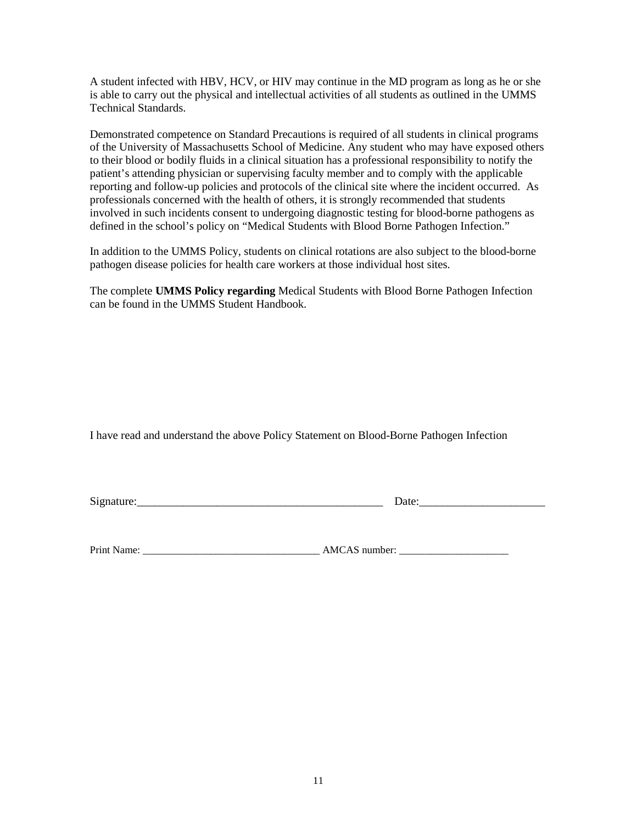A student infected with HBV, HCV, or HIV may continue in the MD program as long as he or she is able to carry out the physical and intellectual activities of all students as outlined in the UMMS Technical Standards.

Demonstrated competence on Standard Precautions is required of all students in clinical programs of the University of Massachusetts School of Medicine. Any student who may have exposed others to their blood or bodily fluids in a clinical situation has a professional responsibility to notify the patient's attending physician or supervising faculty member and to comply with the applicable reporting and follow-up policies and protocols of the clinical site where the incident occurred. As professionals concerned with the health of others, it is strongly recommended that students involved in such incidents consent to undergoing diagnostic testing for blood-borne pathogens as defined in the school's policy on "Medical Students with Blood Borne Pathogen Infection."

In addition to the UMMS Policy, students on clinical rotations are also subject to the blood-borne pathogen disease policies for health care workers at those individual host sites.

The complete **UMMS Policy regarding** Medical Students with Blood Borne Pathogen Infection can be found in the UMMS Student Handbook.

I have read and understand the above Policy Statement on Blood-Borne Pathogen Infection

Signature:\_\_\_\_\_\_\_\_\_\_\_\_\_\_\_\_\_\_\_\_\_\_\_\_\_\_\_\_\_\_\_\_\_\_\_\_\_\_\_\_\_\_\_ Date:\_\_\_\_\_\_\_\_\_\_\_\_\_\_\_\_\_\_\_\_\_\_

Print Name: \_\_\_\_\_\_\_\_\_\_\_\_\_\_\_\_\_\_\_\_\_\_\_\_\_\_\_\_\_\_\_\_\_\_ AMCAS number: \_\_\_\_\_\_\_\_\_\_\_\_\_\_\_\_\_\_\_\_\_